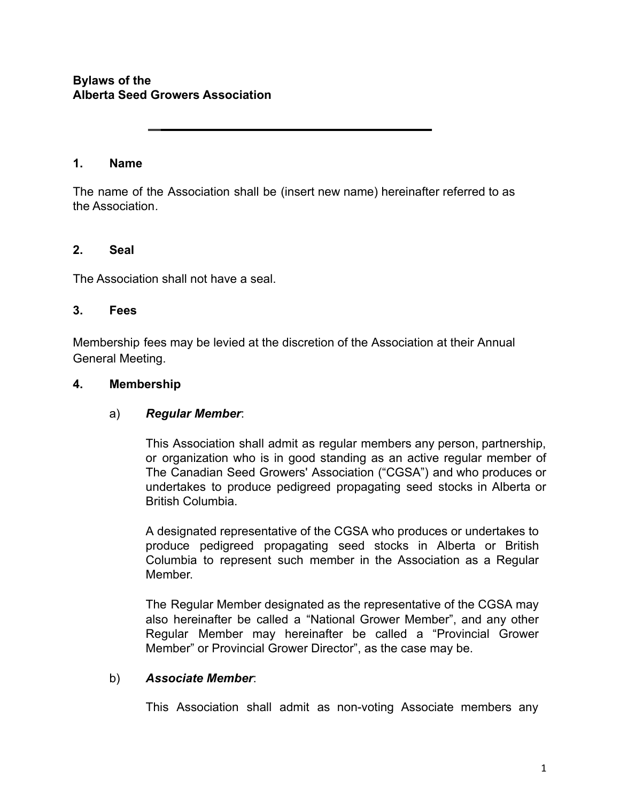## **Bylaws of the Alberta Seed Growers Association**

### **1. Name**

The name of the Association shall be (insert new name) hereinafter referred to as the Association*.*

#### **2. Seal**

The Association shall not have a seal.

#### **3. Fees**

Membership fees may be levied at the discretion of the Association at their Annual General Meeting.

#### **4. Membership**

### a) *Regular Member*:

This Association shall admit as regular members any person, partnership, or organization who is in good standing as an active regular member of The Canadian Seed Growers' Association ("CGSA") and who produces or undertakes to produce pedigreed propagating seed stocks in Alberta or British Columbia.

A designated representative of the CGSA who produces or undertakes to produce pedigreed propagating seed stocks in Alberta or British Columbia to represent such member in the Association as a Regular **Member** 

The Regular Member designated as the representative of the CGSA may also hereinafter be called a "National Grower Member", and any other Regular Member may hereinafter be called a "Provincial Grower Member" or Provincial Grower Director", as the case may be.

### b) *Associate Member*:

This Association shall admit as non-voting Associate members any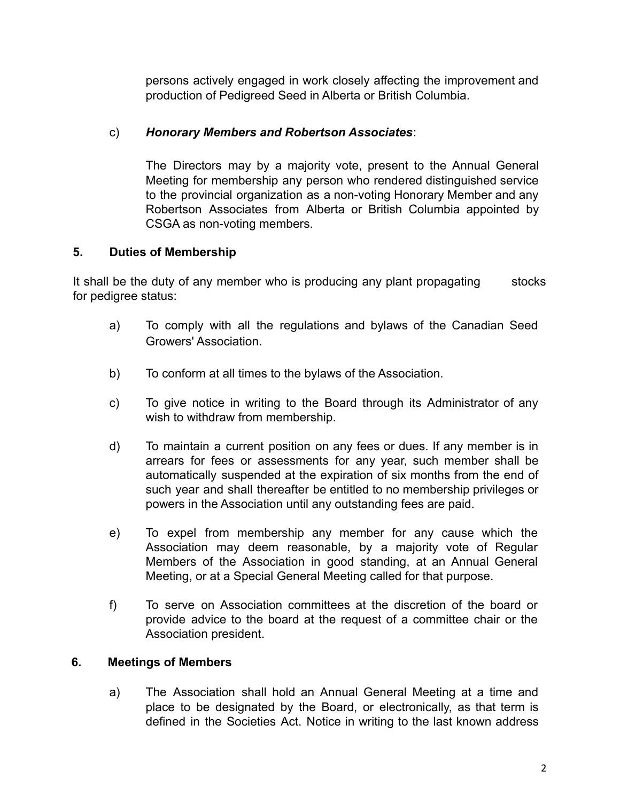persons actively engaged in work closely affecting the improvement and production of Pedigreed Seed in Alberta or British Columbia.

## c) *Honorary Members and Robertson Associates*:

The Directors may by a majority vote, present to the Annual General Meeting for membership any person who rendered distinguished service to the provincial organization as a non-voting Honorary Member and any Robertson Associates from Alberta or British Columbia appointed by CSGA as non-voting members.

## **5. Duties of Membership**

It shall be the duty of any member who is producing any plant propagating stocks for pedigree status:

- a) To comply with all the regulations and bylaws of the Canadian Seed Growers' Association.
- b) To conform at all times to the bylaws of the Association.
- c) To give notice in writing to the Board through its Administrator of any wish to withdraw from membership.
- d) To maintain a current position on any fees or dues. If any member is in arrears for fees or assessments for any year, such member shall be automatically suspended at the expiration of six months from the end of such year and shall thereafter be entitled to no membership privileges or powers in the Association until any outstanding fees are paid.
- e) To expel from membership any member for any cause which the Association may deem reasonable, by a majority vote of Regular Members of the Association in good standing, at an Annual General Meeting, or at a Special General Meeting called for that purpose.
- f) To serve on Association committees at the discretion of the board or provide advice to the board at the request of a committee chair or the Association president.

## **6. Meetings of Members**

a) The Association shall hold an Annual General Meeting at a time and place to be designated by the Board, or electronically, as that term is defined in the Societies Act. Notice in writing to the last known address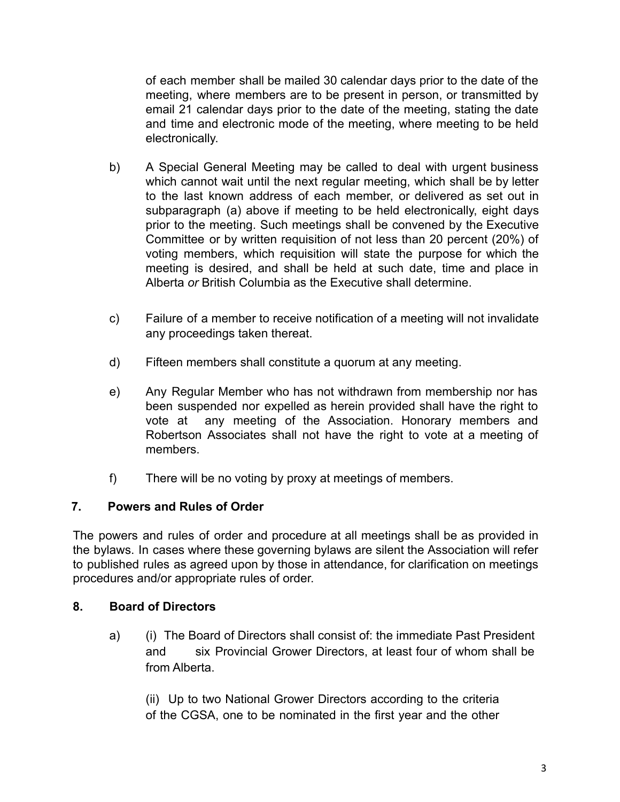of each member shall be mailed 30 calendar days prior to the date of the meeting, where members are to be present in person, or transmitted by email 21 calendar days prior to the date of the meeting, stating the date and time and electronic mode of the meeting, where meeting to be held electronically.

- b) A Special General Meeting may be called to deal with urgent business which cannot wait until the next regular meeting, which shall be by letter to the last known address of each member, or delivered as set out in subparagraph (a) above if meeting to be held electronically, eight days prior to the meeting. Such meetings shall be convened by the Executive Committee or by written requisition of not less than 20 percent (20%) of voting members, which requisition will state the purpose for which the meeting is desired, and shall be held at such date, time and place in Alberta *or* British Columbia as the Executive shall determine.
- c) Failure of a member to receive notification of a meeting will not invalidate any proceedings taken thereat.
- d) Fifteen members shall constitute a quorum at any meeting.
- e) Any Regular Member who has not withdrawn from membership nor has been suspended nor expelled as herein provided shall have the right to vote at any meeting of the Association. Honorary members and Robertson Associates shall not have the right to vote at a meeting of members.
- f) There will be no voting by proxy at meetings of members.

# **7. Powers and Rules of Order**

The powers and rules of order and procedure at all meetings shall be as provided in the bylaws. In cases where these governing bylaws are silent the Association will refer to published rules as agreed upon by those in attendance, for clarification on meetings procedures and/or appropriate rules of order.

# **8. Board of Directors**

a) (i) The Board of Directors shall consist of: the immediate Past President and six Provincial Grower Directors, at least four of whom shall be from Alberta.

(ii) Up to two National Grower Directors according to the criteria of the CGSA, one to be nominated in the first year and the other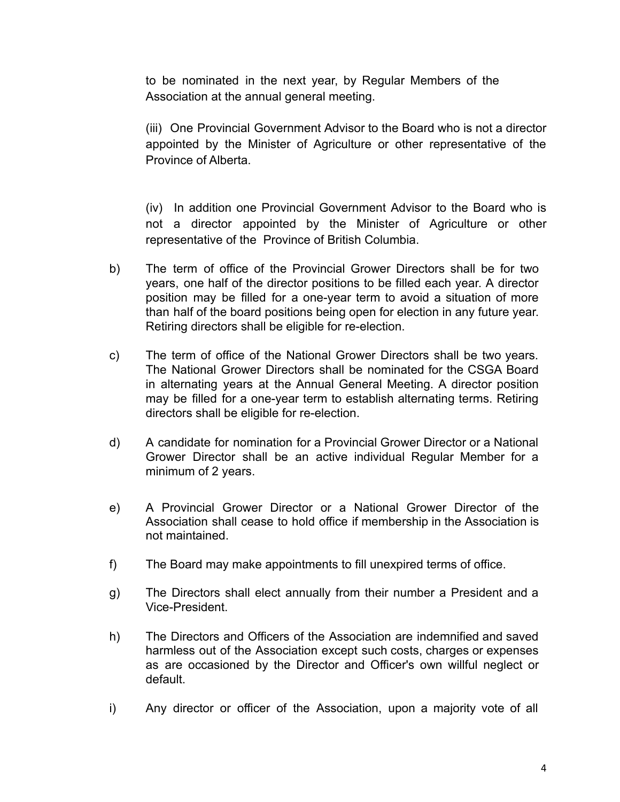to be nominated in the next year, by Regular Members of the Association at the annual general meeting.

(iii) One Provincial Government Advisor to the Board who is not a director appointed by the Minister of Agriculture or other representative of the Province of Alberta.

(iv) In addition one Provincial Government Advisor to the Board who is not a director appointed by the Minister of Agriculture or other representative of the Province of British Columbia.

- b) The term of office of the Provincial Grower Directors shall be for two years, one half of the director positions to be filled each year. A director position may be filled for a one-year term to avoid a situation of more than half of the board positions being open for election in any future year. Retiring directors shall be eligible for re-election.
- c) The term of office of the National Grower Directors shall be two years. The National Grower Directors shall be nominated for the CSGA Board in alternating years at the Annual General Meeting. A director position may be filled for a one-year term to establish alternating terms. Retiring directors shall be eligible for re-election.
- d) A candidate for nomination for a Provincial Grower Director or a National Grower Director shall be an active individual Regular Member for a minimum of 2 years.
- e) A Provincial Grower Director or a National Grower Director of the Association shall cease to hold office if membership in the Association is not maintained.
- f) The Board may make appointments to fill unexpired terms of office.
- g) The Directors shall elect annually from their number a President and a Vice-President.
- h) The Directors and Officers of the Association are indemnified and saved harmless out of the Association except such costs, charges or expenses as are occasioned by the Director and Officer's own willful neglect or default.
- i) Any director or officer of the Association, upon a majority vote of all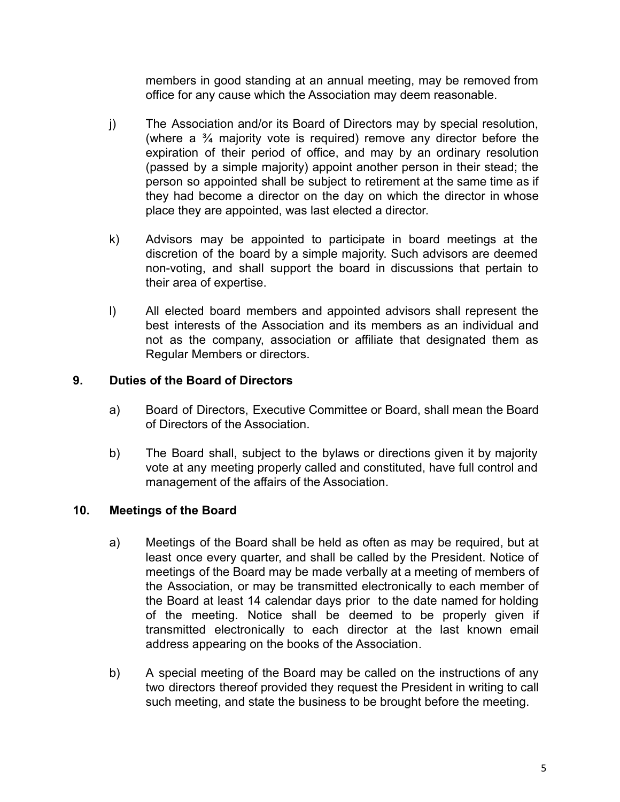members in good standing at an annual meeting, may be removed from office for any cause which the Association may deem reasonable.

- j) The Association and/or its Board of Directors may by special resolution, (where a ¾ majority vote is required) remove any director before the expiration of their period of office, and may by an ordinary resolution (passed by a simple majority) appoint another person in their stead; the person so appointed shall be subject to retirement at the same time as if they had become a director on the day on which the director in whose place they are appointed, was last elected a director.
- k) Advisors may be appointed to participate in board meetings at the discretion of the board by a simple majority. Such advisors are deemed non-voting, and shall support the board in discussions that pertain to their area of expertise.
- l) All elected board members and appointed advisors shall represent the best interests of the Association and its members as an individual and not as the company, association or affiliate that designated them as Regular Members or directors.

## **9. Duties of the Board of Directors**

- a) Board of Directors, Executive Committee or Board, shall mean the Board of Directors of the Association.
- b) The Board shall, subject to the bylaws or directions given it by majority vote at any meeting properly called and constituted, have full control and management of the affairs of the Association.

# **10. Meetings of the Board**

- a) Meetings of the Board shall be held as often as may be required, but at least once every quarter, and shall be called by the President. Notice of meetings of the Board may be made verbally at a meeting of members of the Association, or may be transmitted electronically to each member of the Board at least 14 calendar days prior to the date named for holding of the meeting. Notice shall be deemed to be properly given if transmitted electronically to each director at the last known email address appearing on the books of the Association.
- b) A special meeting of the Board may be called on the instructions of any two directors thereof provided they request the President in writing to call such meeting, and state the business to be brought before the meeting.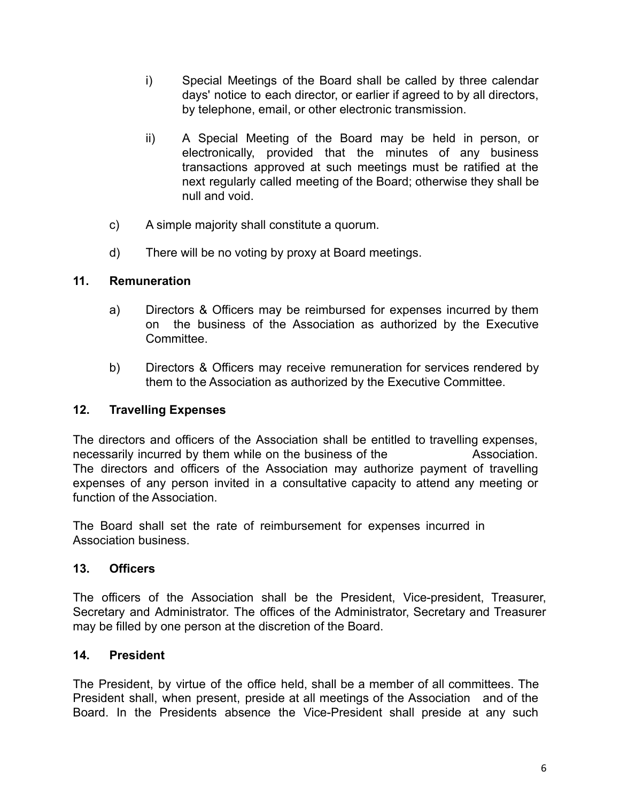- i) Special Meetings of the Board shall be called by three calendar days' notice to each director, or earlier if agreed to by all directors, by telephone, email, or other electronic transmission.
- ii) A Special Meeting of the Board may be held in person, or electronically, provided that the minutes of any business transactions approved at such meetings must be ratified at the next regularly called meeting of the Board; otherwise they shall be null and void.
- c) A simple majority shall constitute a quorum.
- d) There will be no voting by proxy at Board meetings.

## **11. Remuneration**

- a) Directors & Officers may be reimbursed for expenses incurred by them on the business of the Association as authorized by the Executive **Committee.**
- b) Directors & Officers may receive remuneration for services rendered by them to the Association as authorized by the Executive Committee.

# **12. Travelling Expenses**

The directors and officers of the Association shall be entitled to travelling expenses, necessarily incurred by them while on the business of the Association. The directors and officers of the Association may authorize payment of travelling expenses of any person invited in a consultative capacity to attend any meeting or function of the Association.

The Board shall set the rate of reimbursement for expenses incurred in Association business.

## **13. Officers**

The officers of the Association shall be the President, Vice-president, Treasurer, Secretary and Administrator. The offices of the Administrator, Secretary and Treasurer may be filled by one person at the discretion of the Board.

# **14. President**

The President, by virtue of the office held, shall be a member of all committees. The President shall, when present, preside at all meetings of the Association and of the Board. In the Presidents absence the Vice-President shall preside at any such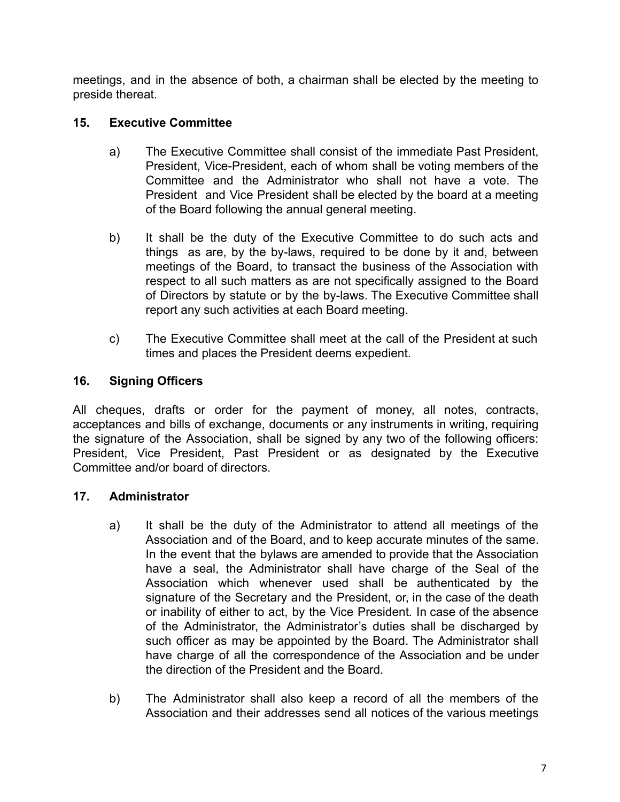meetings, and in the absence of both, a chairman shall be elected by the meeting to preside thereat.

# **15. Executive Committee**

- a) The Executive Committee shall consist of the immediate Past President, President, Vice-President, each of whom shall be voting members of the Committee and the Administrator who shall not have a vote. The President and Vice President shall be elected by the board at a meeting of the Board following the annual general meeting.
- b) It shall be the duty of the Executive Committee to do such acts and things as are, by the by-laws, required to be done by it and, between meetings of the Board, to transact the business of the Association with respect to all such matters as are not specifically assigned to the Board of Directors by statute or by the by-laws. The Executive Committee shall report any such activities at each Board meeting.
- c) The Executive Committee shall meet at the call of the President at such times and places the President deems expedient.

# **16. Signing Officers**

All cheques, drafts or order for the payment of money, all notes, contracts, acceptances and bills of exchange, documents or any instruments in writing, requiring the signature of the Association, shall be signed by any two of the following officers: President, Vice President, Past President or as designated by the Executive Committee and/or board of directors.

## **17. Administrator**

- a) It shall be the duty of the Administrator to attend all meetings of the Association and of the Board, and to keep accurate minutes of the same. In the event that the bylaws are amended to provide that the Association have a seal, the Administrator shall have charge of the Seal of the Association which whenever used shall be authenticated by the signature of the Secretary and the President, or, in the case of the death or inability of either to act, by the Vice President*.* In case of the absence of the Administrator, the Administrator's duties shall be discharged by such officer as may be appointed by the Board. The Administrator shall have charge of all the correspondence of the Association and be under the direction of the President and the Board.
- b) The Administrator shall also keep a record of all the members of the Association and their addresses send all notices of the various meetings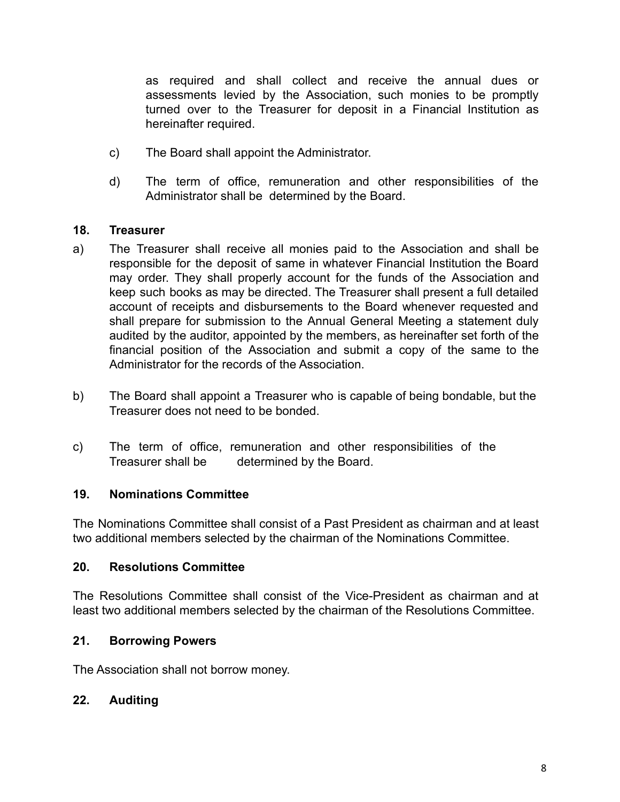as required and shall collect and receive the annual dues or assessments levied by the Association, such monies to be promptly turned over to the Treasurer for deposit in a Financial Institution as hereinafter required.

- c) The Board shall appoint the Administrator.
- d) The term of office, remuneration and other responsibilities of the Administrator shall be determined by the Board.

### **18. Treasurer**

- a) The Treasurer shall receive all monies paid to the Association and shall be responsible for the deposit of same in whatever Financial Institution the Board may order. They shall properly account for the funds of the Association and keep such books as may be directed. The Treasurer shall present a full detailed account of receipts and disbursements to the Board whenever requested and shall prepare for submission to the Annual General Meeting a statement duly audited by the auditor, appointed by the members, as hereinafter set forth of the financial position of the Association and submit a copy of the same to the Administrator for the records of the Association.
- b) The Board shall appoint a Treasurer who is capable of being bondable, but the Treasurer does not need to be bonded.
- c) The term of office, remuneration and other responsibilities of the Treasurer shall be determined by the Board.

### **19. Nominations Committee**

The Nominations Committee shall consist of a Past President as chairman and at least two additional members selected by the chairman of the Nominations Committee.

### **20. Resolutions Committee**

The Resolutions Committee shall consist of the Vice-President as chairman and at least two additional members selected by the chairman of the Resolutions Committee.

### **21. Borrowing Powers**

The Association shall not borrow money.

### **22. Auditing**